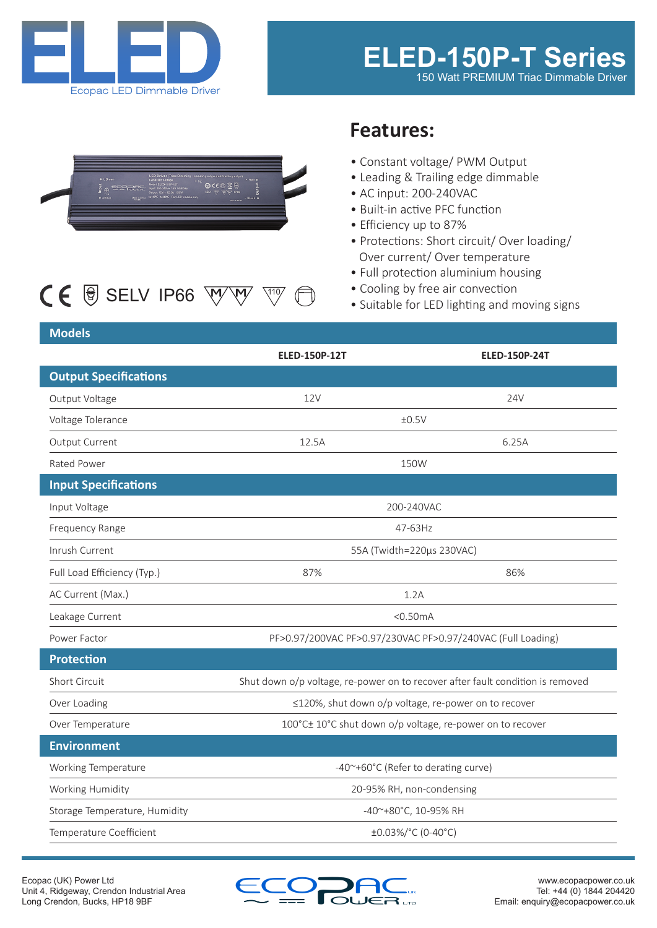



# $CE$   $\circledast$  SELV IP66  $\overline{W}$  $\overline{W}$   $\overline{W}$

# **Features:**

- Constant voltage/ PWM Output
- Leading & Trailing edge dimmable
- AC input: 200-240VAC
- Built-in active PFC function
- Efficiency up to 87%
- Protections: Short circuit/ Over loading/ Over current/ Over temperature
- Full protection aluminium housing
- Cooling by free air convection
- Suitable for LED lighting and moving signs

## **Models**

|                               | <b>ELED-150P-12T</b>                                                           | <b>ELED-150P-24T</b> |
|-------------------------------|--------------------------------------------------------------------------------|----------------------|
| <b>Output Specifications</b>  |                                                                                |                      |
| Output Voltage                | <b>12V</b>                                                                     | 24V                  |
| Voltage Tolerance             | ±0.5V                                                                          |                      |
| Output Current                | 12.5A                                                                          | 6.25A                |
| Rated Power                   | 150W                                                                           |                      |
| <b>Input Specifications</b>   |                                                                                |                      |
| Input Voltage                 | 200-240VAC                                                                     |                      |
| Frequency Range               | 47-63Hz                                                                        |                      |
| Inrush Current                | 55A (Twidth=220µs 230VAC)                                                      |                      |
| Full Load Efficiency (Typ.)   | 87%                                                                            | 86%                  |
| AC Current (Max.)             | 1.2A                                                                           |                      |
| Leakage Current               | $<$ 0.50 $mA$                                                                  |                      |
| Power Factor                  | PF>0.97/200VAC PF>0.97/230VAC PF>0.97/240VAC (Full Loading)                    |                      |
| <b>Protection</b>             |                                                                                |                      |
| Short Circuit                 | Shut down o/p voltage, re-power on to recover after fault condition is removed |                      |
| Over Loading                  | ≤120%, shut down o/p voltage, re-power on to recover                           |                      |
| Over Temperature              | 100°C± 10°C shut down o/p voltage, re-power on to recover                      |                      |
| <b>Environment</b>            |                                                                                |                      |
| Working Temperature           | -40~+60°C (Refer to derating curve)                                            |                      |
| Working Humidity              | 20-95% RH, non-condensing                                                      |                      |
| Storage Temperature, Humidity | -40~+80°C, 10-95% RH                                                           |                      |
| Temperature Coefficient       | ±0.03%/°C (0-40°C)                                                             |                      |

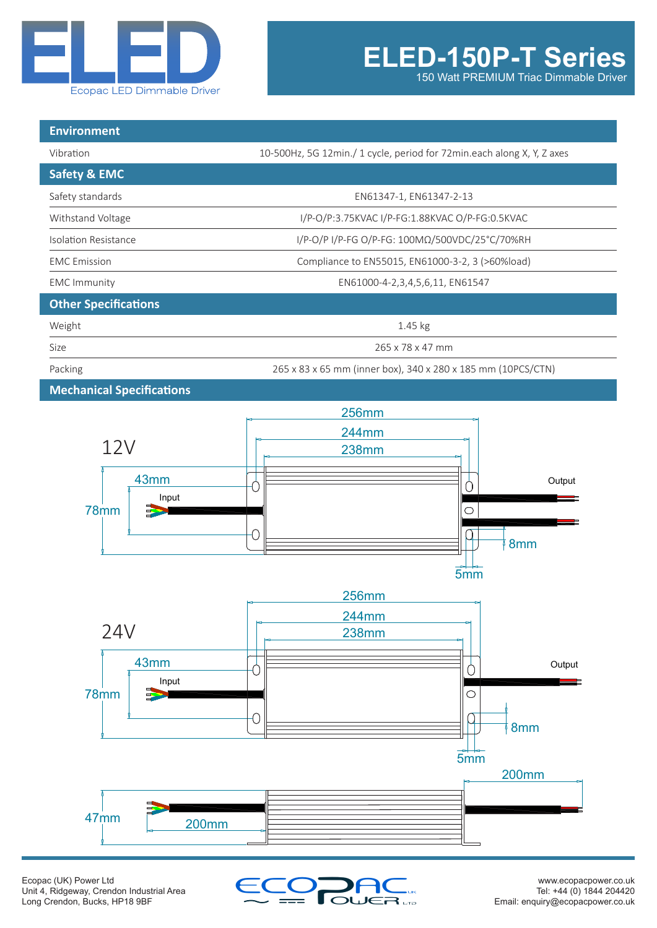

150 Watt PREMIUM Triac Dimmable Driver

| <b>Environment</b>               |                                                                        |  |
|----------------------------------|------------------------------------------------------------------------|--|
| Vibration                        | 10-500Hz, 5G 12min./ 1 cycle, period for 72min.each along X, Y, Z axes |  |
| <b>Safety &amp; EMC</b>          |                                                                        |  |
| Safety standards                 | EN61347-1, EN61347-2-13                                                |  |
| Withstand Voltage                | I/P-O/P:3.75KVAC I/P-FG:1.88KVAC O/P-FG:0.5KVAC                        |  |
| <b>Isolation Resistance</b>      | I/P-O/P I/P-FG O/P-FG: 100ΜΩ/500VDC/25°C/70%RH                         |  |
| <b>EMC</b> Emission              | Compliance to EN55015, EN61000-3-2, 3 (>60%load)                       |  |
| <b>EMC</b> Immunity              | EN61000-4-2,3,4,5,6,11, EN61547                                        |  |
| <b>Other Specifications</b>      |                                                                        |  |
| Weight                           | $1.45$ kg                                                              |  |
| Size                             | 265 x 78 x 47 mm                                                       |  |
| Packing                          | 265 x 83 x 65 mm (inner box), 340 x 280 x 185 mm (10PCS/CTN)           |  |
| <b>Mechanical Specifications</b> |                                                                        |  |



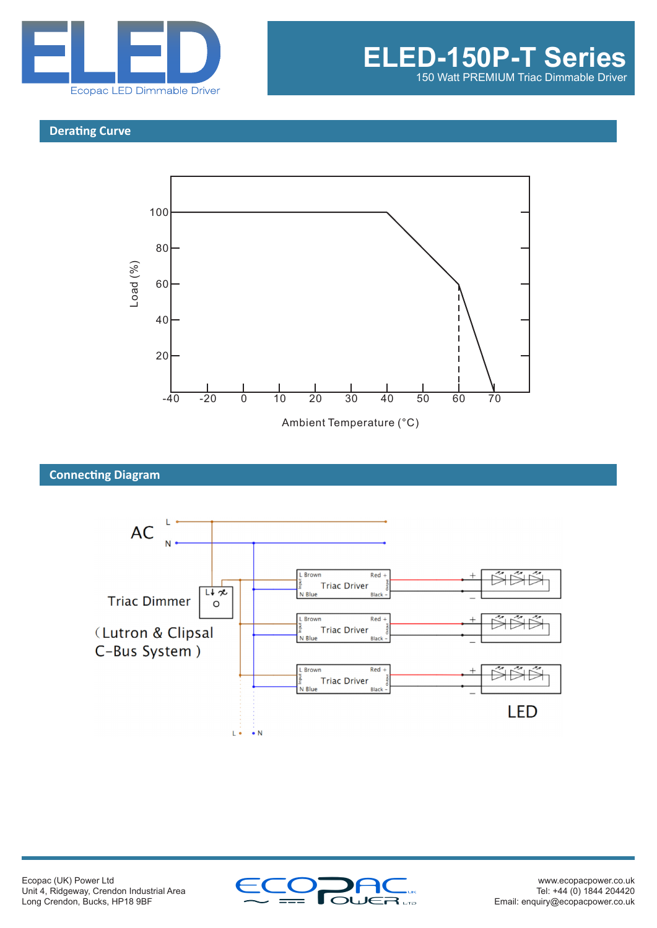

#### **Derating Curve**



# **Connecting Diagram**